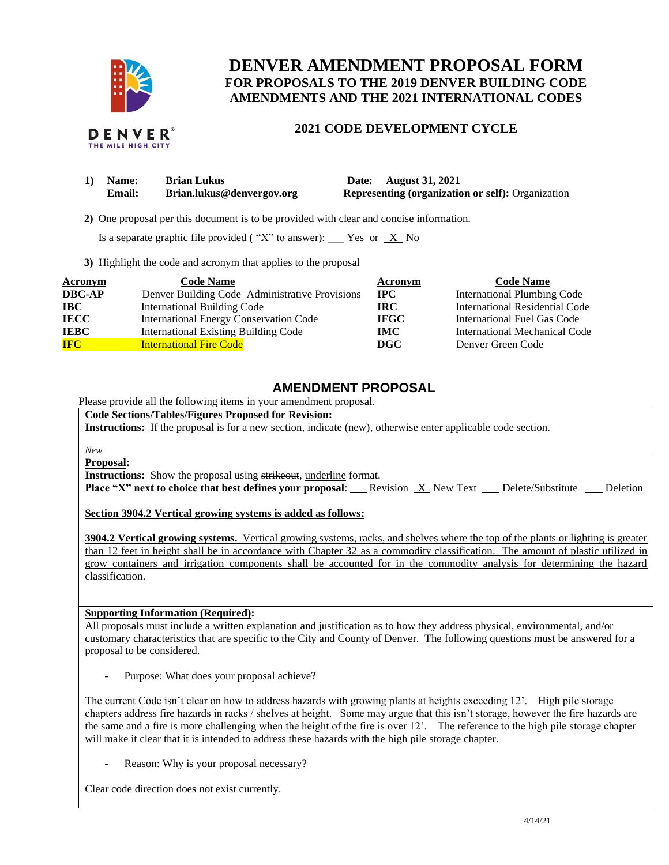

## **DENVER AMENDMENT PROPOSAL FORM FOR PROPOSALS TO THE 2019 DENVER BUILDING CODE AMENDMENTS AND THE 2021 INTERNATIONAL CODES**

## **2021 CODE DEVELOPMENT CYCLE**

| 1) Name:      | <b>Brian Lukus</b>        | Date: August 31, 2021                                    |
|---------------|---------------------------|----------------------------------------------------------|
| <b>Email:</b> | Brian.lukus@denvergov.org | <b>Representing (organization or self): Organization</b> |

 **2)** One proposal per this document is to be provided with clear and concise information.

Is a separate graphic file provided ("X" to answer): \_\_\_ Yes or  $X$  No

**3)** Highlight the code and acronym that applies to the proposal

| Acronym       | <b>Code Name</b>                               | Acronym      | <b>Code Name</b>                   |
|---------------|------------------------------------------------|--------------|------------------------------------|
| <b>DBC-AP</b> | Denver Building Code–Administrative Provisions | $_{\rm IPC}$ | <b>International Plumbing Code</b> |
| IBC           | <b>International Building Code</b>             | IRC.         | International Residential Code     |
| <b>IECC</b>   | International Energy Conservation Code         | <b>IFGC</b>  | International Fuel Gas Code        |
| <b>IEBC</b>   | <b>International Existing Building Code</b>    | <b>IMC</b>   | International Mechanical Code      |
| <b>IFC</b>    | <b>International Fire Code</b>                 | <b>DGC</b>   | Denver Green Code                  |

## **AMENDMENT PROPOSAL**

Please provide all the following items in your amendment proposal.

**Code Sections/Tables/Figures Proposed for Revision:**

**Instructions:** If the proposal is for a new section, indicate (new), otherwise enter applicable code section.

*New*

**Proposal:**

**Instructions:** Show the proposal using strikeout, underline format.

**Place "X" next to choice that best defines your proposal:** Revision X New Text Delete/Substitute Deletion

**Section 3904.2 Vertical growing systems is added as follows:** 

**3904.2 Vertical growing systems.** Vertical growing systems, racks, and shelves where the top of the plants or lighting is greater than 12 feet in height shall be in accordance with Chapter 32 as a commodity classification. The amount of plastic utilized in grow containers and irrigation components shall be accounted for in the commodity analysis for determining the hazard classification.

## **Supporting Information (Required):**

All proposals must include a written explanation and justification as to how they address physical, environmental, and/or customary characteristics that are specific to the City and County of Denver. The following questions must be answered for a proposal to be considered.

Purpose: What does your proposal achieve?

The current Code isn't clear on how to address hazards with growing plants at heights exceeding 12'. High pile storage chapters address fire hazards in racks / shelves at height. Some may argue that this isn't storage, however the fire hazards are the same and a fire is more challenging when the height of the fire is over 12'. The reference to the high pile storage chapter will make it clear that it is intended to address these hazards with the high pile storage chapter.

Reason: Why is your proposal necessary?

Clear code direction does not exist currently.